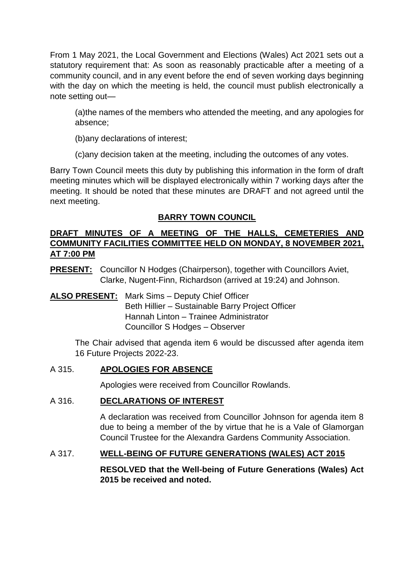From 1 May 2021, the Local Government and Elections (Wales) Act 2021 sets out a statutory requirement that: As soon as reasonably practicable after a meeting of a community council, and in any event before the end of seven working days beginning with the day on which the meeting is held, the council must publish electronically a note setting out—

(a)the names of the members who attended the meeting, and any apologies for absence;

(b)any declarations of interest;

(c)any decision taken at the meeting, including the outcomes of any votes.

Barry Town Council meets this duty by publishing this information in the form of draft meeting minutes which will be displayed electronically within 7 working days after the meeting. It should be noted that these minutes are DRAFT and not agreed until the next meeting.

# **BARRY TOWN COUNCIL**

# **DRAFT MINUTES OF A MEETING OF THE HALLS, CEMETERIES AND COMMUNITY FACILITIES COMMITTEE HELD ON MONDAY, 8 NOVEMBER 2021, AT 7:00 PM**

**PRESENT:** Councillor N Hodges (Chairperson), together with Councillors Aviet, Clarke, Nugent-Finn, Richardson (arrived at 19:24) and Johnson.

# **ALSO PRESENT:** Mark Sims – Deputy Chief Officer Beth Hillier – Sustainable Barry Project Officer Hannah Linton – Trainee Administrator Councillor S Hodges – Observer

The Chair advised that agenda item 6 would be discussed after agenda item 16 Future Projects 2022-23.

# A 315. **APOLOGIES FOR ABSENCE**

Apologies were received from Councillor Rowlands.

# A 316. **DECLARATIONS OF INTEREST**

A declaration was received from Councillor Johnson for agenda item 8 due to being a member of the by virtue that he is a Vale of Glamorgan Council Trustee for the Alexandra Gardens Community Association.

# A 317. **WELL-BEING OF FUTURE GENERATIONS (WALES) ACT 2015**

**RESOLVED that the Well-being of Future Generations (Wales) Act 2015 be received and noted.**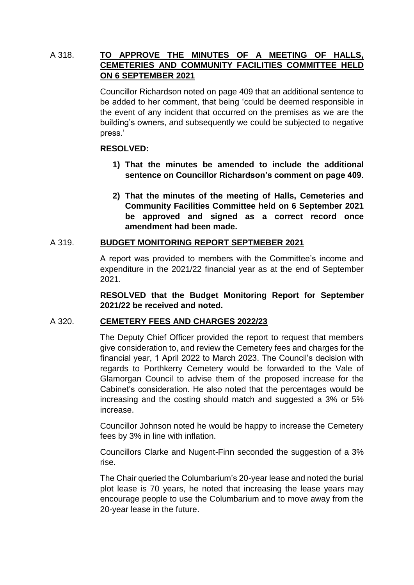# A 318. **TO APPROVE THE MINUTES OF A MEETING OF HALLS, CEMETERIES AND COMMUNITY FACILITIES COMMITTEE HELD ON 6 SEPTEMBER 2021**

Councillor Richardson noted on page 409 that an additional sentence to be added to her comment, that being 'could be deemed responsible in the event of any incident that occurred on the premises as we are the building's owners, and subsequently we could be subjected to negative press.'

## **RESOLVED:**

- **1) That the minutes be amended to include the additional sentence on Councillor Richardson's comment on page 409.**
- **2) That the minutes of the meeting of Halls, Cemeteries and Community Facilities Committee held on 6 September 2021 be approved and signed as a correct record once amendment had been made.**

## A 319. **BUDGET MONITORING REPORT SEPTMEBER 2021**

A report was provided to members with the Committee's income and expenditure in the 2021/22 financial year as at the end of September 2021.

**RESOLVED that the Budget Monitoring Report for September 2021/22 be received and noted.** 

# A 320. **CEMETERY FEES AND CHARGES 2022/23**

The Deputy Chief Officer provided the report to request that members give consideration to, and review the Cemetery fees and charges for the financial year, 1 April 2022 to March 2023. The Council's decision with regards to Porthkerry Cemetery would be forwarded to the Vale of Glamorgan Council to advise them of the proposed increase for the Cabinet's consideration. He also noted that the percentages would be increasing and the costing should match and suggested a 3% or 5% increase.

Councillor Johnson noted he would be happy to increase the Cemetery fees by 3% in line with inflation.

Councillors Clarke and Nugent-Finn seconded the suggestion of a 3% rise.

The Chair queried the Columbarium's 20-year lease and noted the burial plot lease is 70 years, he noted that increasing the lease years may encourage people to use the Columbarium and to move away from the 20-year lease in the future.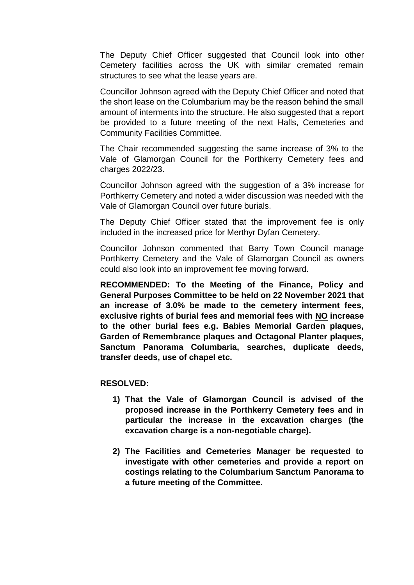The Deputy Chief Officer suggested that Council look into other Cemetery facilities across the UK with similar cremated remain structures to see what the lease years are.

Councillor Johnson agreed with the Deputy Chief Officer and noted that the short lease on the Columbarium may be the reason behind the small amount of interments into the structure. He also suggested that a report be provided to a future meeting of the next Halls, Cemeteries and Community Facilities Committee.

The Chair recommended suggesting the same increase of 3% to the Vale of Glamorgan Council for the Porthkerry Cemetery fees and charges 2022/23.

Councillor Johnson agreed with the suggestion of a 3% increase for Porthkerry Cemetery and noted a wider discussion was needed with the Vale of Glamorgan Council over future burials.

The Deputy Chief Officer stated that the improvement fee is only included in the increased price for Merthyr Dyfan Cemetery.

Councillor Johnson commented that Barry Town Council manage Porthkerry Cemetery and the Vale of Glamorgan Council as owners could also look into an improvement fee moving forward.

**RECOMMENDED: To the Meeting of the Finance, Policy and General Purposes Committee to be held on 22 November 2021 that an increase of 3.0% be made to the cemetery interment fees, exclusive rights of burial fees and memorial fees with NO increase to the other burial fees e.g. Babies Memorial Garden plaques, Garden of Remembrance plaques and Octagonal Planter plaques, Sanctum Panorama Columbaria, searches, duplicate deeds, transfer deeds, use of chapel etc.**

#### **RESOLVED:**

- **1) That the Vale of Glamorgan Council is advised of the proposed increase in the Porthkerry Cemetery fees and in particular the increase in the excavation charges (the excavation charge is a non-negotiable charge).**
- **2) The Facilities and Cemeteries Manager be requested to investigate with other cemeteries and provide a report on costings relating to the Columbarium Sanctum Panorama to a future meeting of the Committee.**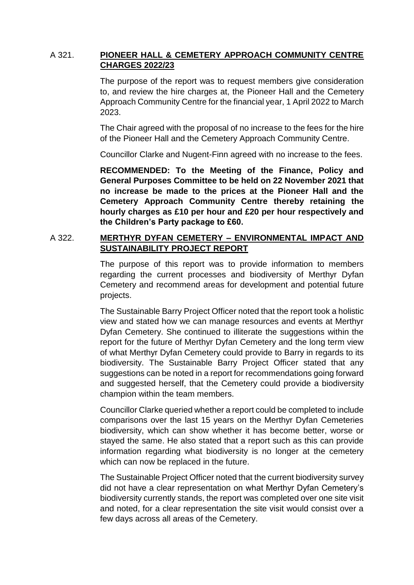## A 321. **PIONEER HALL & CEMETERY APPROACH COMMUNITY CENTRE CHARGES 2022/23**

The purpose of the report was to request members give consideration to, and review the hire charges at, the Pioneer Hall and the Cemetery Approach Community Centre for the financial year, 1 April 2022 to March 2023.

The Chair agreed with the proposal of no increase to the fees for the hire of the Pioneer Hall and the Cemetery Approach Community Centre.

Councillor Clarke and Nugent-Finn agreed with no increase to the fees.

**RECOMMENDED: To the Meeting of the Finance, Policy and General Purposes Committee to be held on 22 November 2021 that no increase be made to the prices at the Pioneer Hall and the Cemetery Approach Community Centre thereby retaining the hourly charges as £10 per hour and £20 per hour respectively and the Children's Party package to £60.**

# A 322. **MERTHYR DYFAN CEMETERY – ENVIRONMENTAL IMPACT AND SUSTAINABILITY PROJECT REPORT**

The purpose of this report was to provide information to members regarding the current processes and biodiversity of Merthyr Dyfan Cemetery and recommend areas for development and potential future projects.

The Sustainable Barry Project Officer noted that the report took a holistic view and stated how we can manage resources and events at Merthyr Dyfan Cemetery. She continued to illiterate the suggestions within the report for the future of Merthyr Dyfan Cemetery and the long term view of what Merthyr Dyfan Cemetery could provide to Barry in regards to its biodiversity. The Sustainable Barry Project Officer stated that any suggestions can be noted in a report for recommendations going forward and suggested herself, that the Cemetery could provide a biodiversity champion within the team members.

Councillor Clarke queried whether a report could be completed to include comparisons over the last 15 years on the Merthyr Dyfan Cemeteries biodiversity, which can show whether it has become better, worse or stayed the same. He also stated that a report such as this can provide information regarding what biodiversity is no longer at the cemetery which can now be replaced in the future.

The Sustainable Project Officer noted that the current biodiversity survey did not have a clear representation on what Merthyr Dyfan Cemetery's biodiversity currently stands, the report was completed over one site visit and noted, for a clear representation the site visit would consist over a few days across all areas of the Cemetery.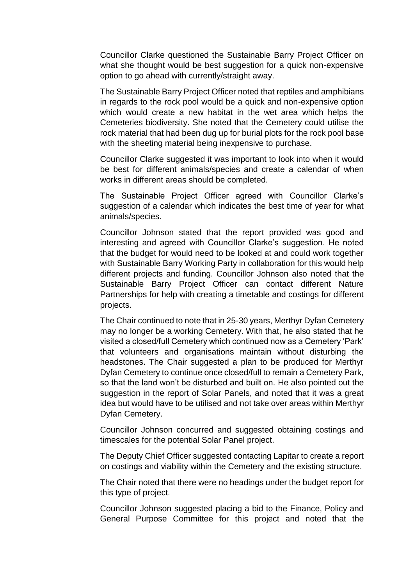Councillor Clarke questioned the Sustainable Barry Project Officer on what she thought would be best suggestion for a quick non-expensive option to go ahead with currently/straight away.

The Sustainable Barry Project Officer noted that reptiles and amphibians in regards to the rock pool would be a quick and non-expensive option which would create a new habitat in the wet area which helps the Cemeteries biodiversity. She noted that the Cemetery could utilise the rock material that had been dug up for burial plots for the rock pool base with the sheeting material being inexpensive to purchase.

Councillor Clarke suggested it was important to look into when it would be best for different animals/species and create a calendar of when works in different areas should be completed.

The Sustainable Project Officer agreed with Councillor Clarke's suggestion of a calendar which indicates the best time of year for what animals/species.

Councillor Johnson stated that the report provided was good and interesting and agreed with Councillor Clarke's suggestion. He noted that the budget for would need to be looked at and could work together with Sustainable Barry Working Party in collaboration for this would help different projects and funding. Councillor Johnson also noted that the Sustainable Barry Project Officer can contact different Nature Partnerships for help with creating a timetable and costings for different projects.

The Chair continued to note that in 25-30 years, Merthyr Dyfan Cemetery may no longer be a working Cemetery. With that, he also stated that he visited a closed/full Cemetery which continued now as a Cemetery 'Park' that volunteers and organisations maintain without disturbing the headstones. The Chair suggested a plan to be produced for Merthyr Dyfan Cemetery to continue once closed/full to remain a Cemetery Park, so that the land won't be disturbed and built on. He also pointed out the suggestion in the report of Solar Panels, and noted that it was a great idea but would have to be utilised and not take over areas within Merthyr Dyfan Cemetery.

Councillor Johnson concurred and suggested obtaining costings and timescales for the potential Solar Panel project.

The Deputy Chief Officer suggested contacting Lapitar to create a report on costings and viability within the Cemetery and the existing structure.

The Chair noted that there were no headings under the budget report for this type of project.

Councillor Johnson suggested placing a bid to the Finance, Policy and General Purpose Committee for this project and noted that the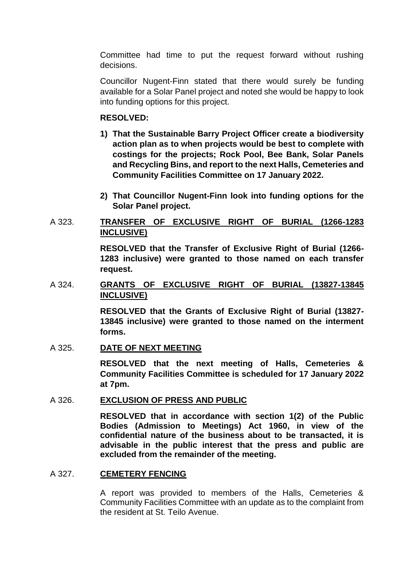Committee had time to put the request forward without rushing decisions.

Councillor Nugent-Finn stated that there would surely be funding available for a Solar Panel project and noted she would be happy to look into funding options for this project.

### **RESOLVED:**

- **1) That the Sustainable Barry Project Officer create a biodiversity action plan as to when projects would be best to complete with costings for the projects; Rock Pool, Bee Bank, Solar Panels and Recycling Bins, and report to the next Halls, Cemeteries and Community Facilities Committee on 17 January 2022.**
- **2) That Councillor Nugent-Finn look into funding options for the Solar Panel project.**

## A 323. **TRANSFER OF EXCLUSIVE RIGHT OF BURIAL (1266-1283 INCLUSIVE)**

**RESOLVED that the Transfer of Exclusive Right of Burial (1266- 1283 inclusive) were granted to those named on each transfer request.** 

## A 324. **GRANTS OF EXCLUSIVE RIGHT OF BURIAL (13827-13845 INCLUSIVE)**

**RESOLVED that the Grants of Exclusive Right of Burial (13827- 13845 inclusive) were granted to those named on the interment forms.** 

### A 325. **DATE OF NEXT MEETING**

**RESOLVED that the next meeting of Halls, Cemeteries & Community Facilities Committee is scheduled for 17 January 2022 at 7pm.** 

### A 326. **EXCLUSION OF PRESS AND PUBLIC**

**RESOLVED that in accordance with section 1(2) of the Public Bodies (Admission to Meetings) Act 1960, in view of the confidential nature of the business about to be transacted, it is advisable in the public interest that the press and public are excluded from the remainder of the meeting.**

### A 327. **CEMETERY FENCING**

A report was provided to members of the Halls, Cemeteries & Community Facilities Committee with an update as to the complaint from the resident at St. Teilo Avenue.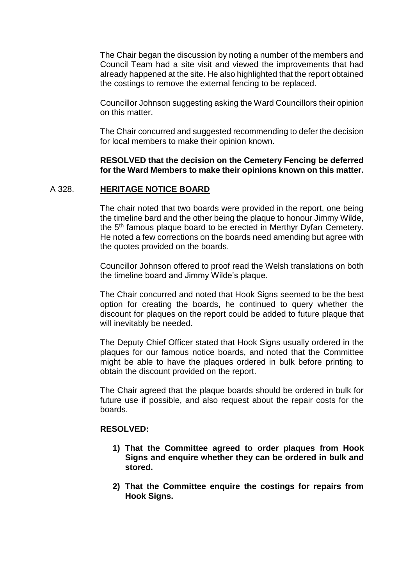The Chair began the discussion by noting a number of the members and Council Team had a site visit and viewed the improvements that had already happened at the site. He also highlighted that the report obtained the costings to remove the external fencing to be replaced.

Councillor Johnson suggesting asking the Ward Councillors their opinion on this matter.

The Chair concurred and suggested recommending to defer the decision for local members to make their opinion known.

#### **RESOLVED that the decision on the Cemetery Fencing be deferred for the Ward Members to make their opinions known on this matter.**

#### A 328. **HERITAGE NOTICE BOARD**

The chair noted that two boards were provided in the report, one being the timeline bard and the other being the plaque to honour Jimmy Wilde, the 5th famous plaque board to be erected in Merthyr Dyfan Cemetery. He noted a few corrections on the boards need amending but agree with the quotes provided on the boards.

Councillor Johnson offered to proof read the Welsh translations on both the timeline board and Jimmy Wilde's plaque.

The Chair concurred and noted that Hook Signs seemed to be the best option for creating the boards, he continued to query whether the discount for plaques on the report could be added to future plaque that will inevitably be needed.

The Deputy Chief Officer stated that Hook Signs usually ordered in the plaques for our famous notice boards, and noted that the Committee might be able to have the plaques ordered in bulk before printing to obtain the discount provided on the report.

The Chair agreed that the plaque boards should be ordered in bulk for future use if possible, and also request about the repair costs for the boards.

#### **RESOLVED:**

- **1) That the Committee agreed to order plaques from Hook Signs and enquire whether they can be ordered in bulk and stored.**
- **2) That the Committee enquire the costings for repairs from Hook Signs.**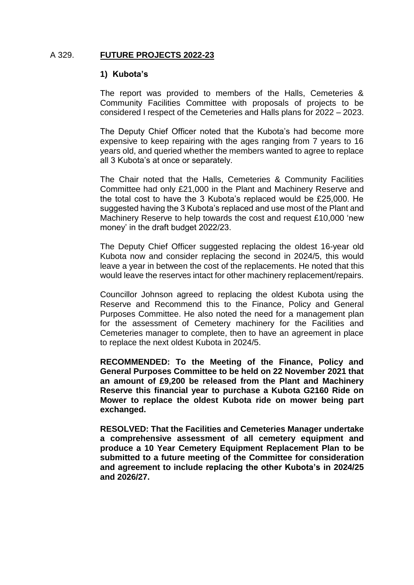#### A 329. **FUTURE PROJECTS 2022-23**

#### **1) Kubota's**

The report was provided to members of the Halls, Cemeteries & Community Facilities Committee with proposals of projects to be considered I respect of the Cemeteries and Halls plans for 2022 – 2023.

The Deputy Chief Officer noted that the Kubota's had become more expensive to keep repairing with the ages ranging from 7 years to 16 years old, and queried whether the members wanted to agree to replace all 3 Kubota's at once or separately.

The Chair noted that the Halls, Cemeteries & Community Facilities Committee had only £21,000 in the Plant and Machinery Reserve and the total cost to have the 3 Kubota's replaced would be £25,000. He suggested having the 3 Kubota's replaced and use most of the Plant and Machinery Reserve to help towards the cost and request £10,000 'new money' in the draft budget 2022/23.

The Deputy Chief Officer suggested replacing the oldest 16-year old Kubota now and consider replacing the second in 2024/5, this would leave a year in between the cost of the replacements. He noted that this would leave the reserves intact for other machinery replacement/repairs.

Councillor Johnson agreed to replacing the oldest Kubota using the Reserve and Recommend this to the Finance, Policy and General Purposes Committee. He also noted the need for a management plan for the assessment of Cemetery machinery for the Facilities and Cemeteries manager to complete, then to have an agreement in place to replace the next oldest Kubota in 2024/5.

**RECOMMENDED: To the Meeting of the Finance, Policy and General Purposes Committee to be held on 22 November 2021 that an amount of £9,200 be released from the Plant and Machinery Reserve this financial year to purchase a Kubota G2160 Ride on Mower to replace the oldest Kubota ride on mower being part exchanged.**

**RESOLVED: That the Facilities and Cemeteries Manager undertake a comprehensive assessment of all cemetery equipment and produce a 10 Year Cemetery Equipment Replacement Plan to be submitted to a future meeting of the Committee for consideration and agreement to include replacing the other Kubota's in 2024/25 and 2026/27.**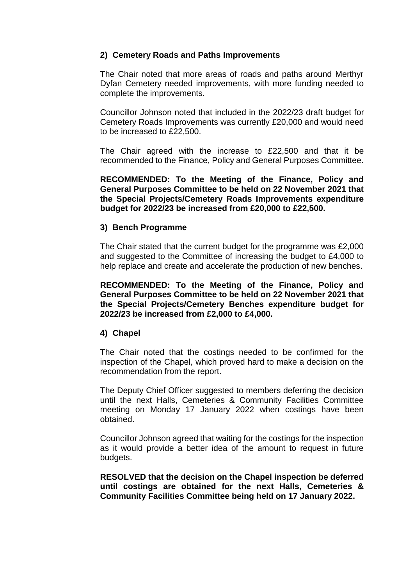## **2) Cemetery Roads and Paths Improvements**

The Chair noted that more areas of roads and paths around Merthyr Dyfan Cemetery needed improvements, with more funding needed to complete the improvements.

Councillor Johnson noted that included in the 2022/23 draft budget for Cemetery Roads Improvements was currently £20,000 and would need to be increased to £22,500.

The Chair agreed with the increase to £22,500 and that it be recommended to the Finance, Policy and General Purposes Committee.

**RECOMMENDED: To the Meeting of the Finance, Policy and General Purposes Committee to be held on 22 November 2021 that the Special Projects/Cemetery Roads Improvements expenditure budget for 2022/23 be increased from £20,000 to £22,500.**

### **3) Bench Programme**

The Chair stated that the current budget for the programme was £2,000 and suggested to the Committee of increasing the budget to £4,000 to help replace and create and accelerate the production of new benches.

**RECOMMENDED: To the Meeting of the Finance, Policy and General Purposes Committee to be held on 22 November 2021 that the Special Projects/Cemetery Benches expenditure budget for 2022/23 be increased from £2,000 to £4,000.**

### **4) Chapel**

The Chair noted that the costings needed to be confirmed for the inspection of the Chapel, which proved hard to make a decision on the recommendation from the report.

The Deputy Chief Officer suggested to members deferring the decision until the next Halls, Cemeteries & Community Facilities Committee meeting on Monday 17 January 2022 when costings have been obtained.

Councillor Johnson agreed that waiting for the costings for the inspection as it would provide a better idea of the amount to request in future budgets.

**RESOLVED that the decision on the Chapel inspection be deferred until costings are obtained for the next Halls, Cemeteries & Community Facilities Committee being held on 17 January 2022.**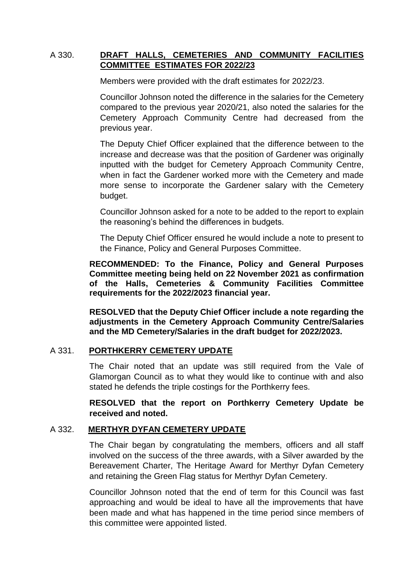## A 330. **DRAFT HALLS, CEMETERIES AND COMMUNITY FACILITIES COMMITTEE ESTIMATES FOR 2022/23**

Members were provided with the draft estimates for 2022/23.

Councillor Johnson noted the difference in the salaries for the Cemetery compared to the previous year 2020/21, also noted the salaries for the Cemetery Approach Community Centre had decreased from the previous year.

The Deputy Chief Officer explained that the difference between to the increase and decrease was that the position of Gardener was originally inputted with the budget for Cemetery Approach Community Centre, when in fact the Gardener worked more with the Cemetery and made more sense to incorporate the Gardener salary with the Cemetery budget.

Councillor Johnson asked for a note to be added to the report to explain the reasoning's behind the differences in budgets.

The Deputy Chief Officer ensured he would include a note to present to the Finance, Policy and General Purposes Committee.

**RECOMMENDED: To the Finance, Policy and General Purposes Committee meeting being held on 22 November 2021 as confirmation of the Halls, Cemeteries & Community Facilities Committee requirements for the 2022/2023 financial year.**

**RESOLVED that the Deputy Chief Officer include a note regarding the adjustments in the Cemetery Approach Community Centre/Salaries and the MD Cemetery/Salaries in the draft budget for 2022/2023.**

### A 331. **PORTHKERRY CEMETERY UPDATE**

The Chair noted that an update was still required from the Vale of Glamorgan Council as to what they would like to continue with and also stated he defends the triple costings for the Porthkerry fees.

**RESOLVED that the report on Porthkerry Cemetery Update be received and noted.** 

#### A 332. **MERTHYR DYFAN CEMETERY UPDATE**

The Chair began by congratulating the members, officers and all staff involved on the success of the three awards, with a Silver awarded by the Bereavement Charter, The Heritage Award for Merthyr Dyfan Cemetery and retaining the Green Flag status for Merthyr Dyfan Cemetery.

Councillor Johnson noted that the end of term for this Council was fast approaching and would be ideal to have all the improvements that have been made and what has happened in the time period since members of this committee were appointed listed.